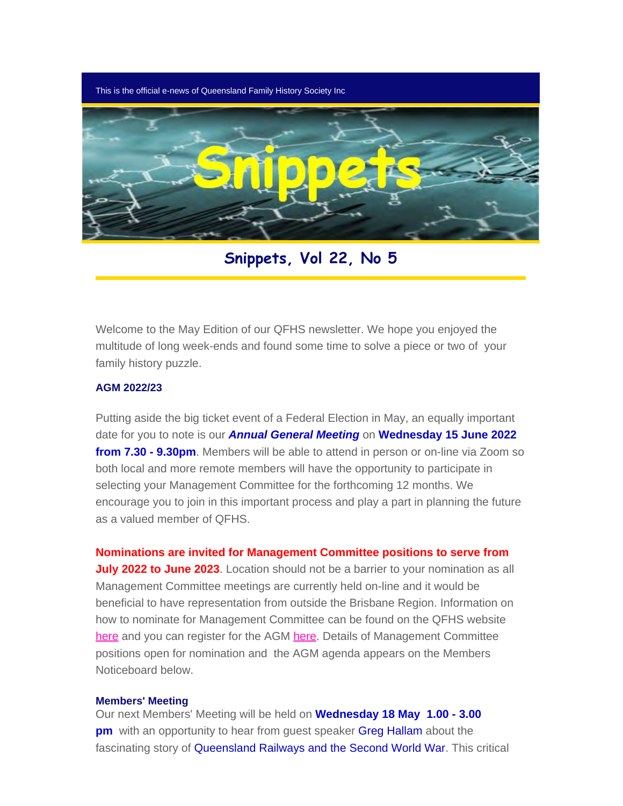This is the official e-news of Queensland Family History Society Inc



**Snippets, Vol 22, No 5**

Welcome to the May Edition of our QFHS newsletter. We hope you enjoyed the multitude of long week-ends and found some time to solve a piece or two of your family history puzzle.

#### **AGM 2022/23**

Putting aside the big ticket event of a Federal Election in May, an equally important date for you to note is our *Annual General Meeting* on **Wednesday 15 June 2022 from 7.30 - 9.30pm**. Members will be able to attend in person or on-line via Zoom so both local and more remote members will have the opportunity to participate in selecting your Management Committee for the forthcoming 12 months. We encourage you to join in this important process and play a part in planning the future as a valued member of QFHS.

**Nominations are invited for Management Committee positions to serve from**

**July 2022 to June 2023**. Location should not be a barrier to your nomination as all Management Committee meetings are currently held on-line and it would be beneficial to have representation from outside the Brisbane Region. Information on how to nominate for Management Committee can be found on the QFHS website [here](https://www.qfhs.org.au/media/1773488/2022-nomination-form-2022-23-mc.pdf) and you can register for the AGM [here.](https://www.eventbrite.com.au/e/qfhs-annual-general-meeting-and-qfhs-book-award-tickets-320375219907) Details of Management Committee positions open for nomination and the AGM agenda appears on the Members Noticeboard below.

#### **Members' Meeting**

Our next Members' Meeting will be held on **Wednesday 18 May 1.00 - 3.00 pm** with an opportunity to hear from guest speaker **Greg Hallam** about the fascinating story of Queensland Railways and the Second World War. This critical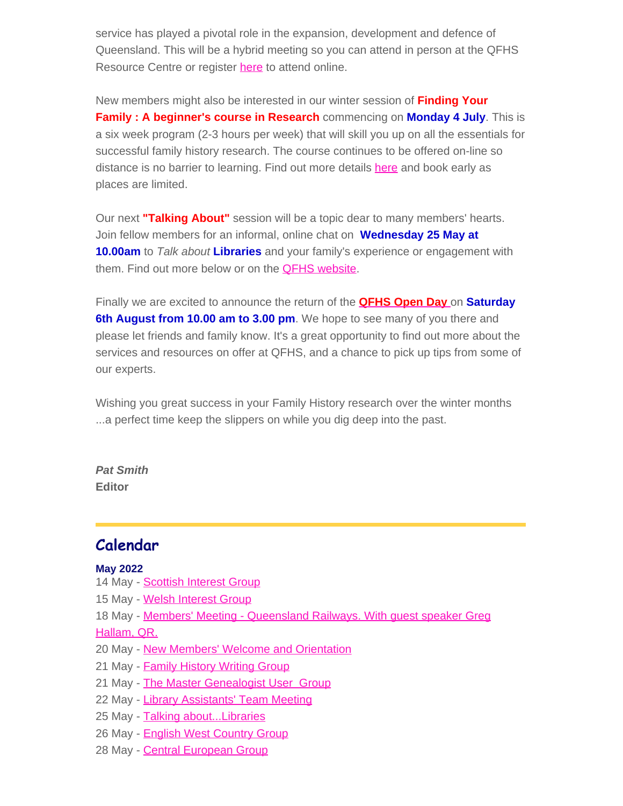service has played a pivotal role in the expansion, development and defence of Queensland. This will be a hybrid meeting so you can attend in person at the QFHS Resource Centre or register [here](https://www.eventbrite.com.au/e/members-meeting-may-greg-hallam-tickets-290068030287) to attend online.

New members might also be interested in our winter session of **Finding Your Family : A beginner's course in Research** commencing on **Monday 4 July**. This is a six week program (2-3 hours per week) that will skill you up on all the essentials for successful family history research. The course continues to be offered on-line so distance is no barrier to learning. Find out more details [here](https://www.qfhs.org.au/events/learn-qfhs/finding-your-family-a-beginners-course-in-research-winter/) and book early as places are limited.

Our next **"Talking About"** session will be a topic dear to many members' hearts. Join fellow members for an informal, online chat on **Wednesday 25 May at 10.00am** to *Talk about* **Libraries** and your family's experience or engagement with them. Find out more below or on the **[QFHS website](https://www.qfhs.org.au/CalendarEvent.aspx?dt=20220525_100000_176).** 

Finally we are excited to announce the return of the **[QFHS Open Day](https://www.qfhs.org.au/CalendarEvent.aspx?dt=20220806_133000_91)** [o](https://www.qfhs.org.au/CalendarEvent.aspx?dt=20220806_133000_91)n **Saturday 6th August from 10.00 am to 3.00 pm**. We hope to see many of you there and please let friends and family know. It's a great opportunity to find out more about the services and resources on offer at QFHS, and a chance to pick up tips from some of our experts.

Wishing you great success in your Family History research over the winter months ...a perfect time keep the slippers on while you dig deep into the past.

*Pat Smith* **Editor**

## **Calendar**

#### **May 2022**

- 14 May [Scottish Interest Group](https://www.qfhs.org.au/CalendarEvent.aspx?dt=20220514_100000_61)
- 15 May [Welsh Interest Group](https://www.qfhs.org.au/CalendarEvent.aspx?dt=20220515_100000_62)
- 18 May [Members' Meeting Queensland Railways. With guest speaker Greg](https://www.qfhs.org.au/CalendarEvent.aspx?dt=20220518_130000_63)

#### [Hallam, QR.](https://www.qfhs.org.au/CalendarEvent.aspx?dt=20220518_130000_63)

- 20 May [New Members' Welcome and Orientation](https://www.qfhs.org.au/CalendarEvent.aspx?dt=20220520_093000_64)
- 21 May **[Family History Writing Group](https://www.qfhs.org.au/CalendarEvent.aspx?dt=20220521_090000_65)**
- 21 May [The Master Genealogist User Group](https://www.qfhs.org.au/CalendarEvent.aspx?dt=20220521_133000_66)
- 22 May [Library Assistants' Team Meeting](https://www.qfhs.org.au/CalendarEvent.aspx?dt=20220522_093000_172)
- 25 May Talking about... Libraries
- 26 May [English West Country Group](https://www.qfhs.org.au/CalendarEvent.aspx?dt=20220526_120000_68)
- 28 May [Central European Group](https://www.qfhs.org.au/CalendarEvent.aspx?dt=20220528_100000_69)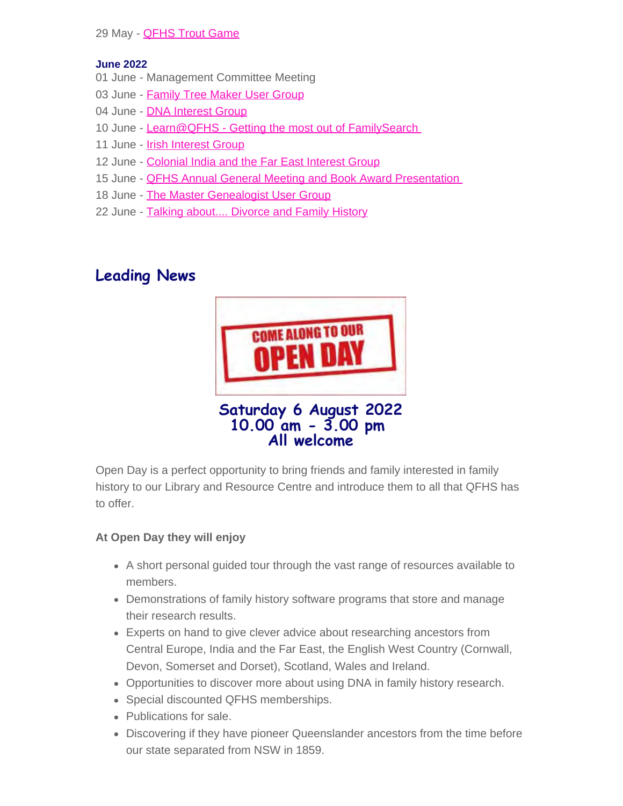#### 29 May - **[QFHS Trout Game](https://www.qfhs.org.au/CalendarEvent.aspx?dt=20220529_100000_67)**

#### **June 2022**

- 01 June Management Committee Meeting
- 03 June - [Family Tree Maker User Group](https://www.qfhs.org.au/CalendarEvent.aspx?dt=20220603_100000_71)
- 04 June **DNA Interest Group**
- 10 June - [Learn@QFHS Getting the most out of FamilySearch](https://www.qfhs.org.au/CalendarEvent.aspx?dt=20220610_100000_73)
- 11 June - [Irish Interest Group](https://www.qfhs.org.au/CalendarEvent.aspx?dt=20220611_103000_74)
- 12 June - [Colonial India and the Far East Interest Group](https://www.qfhs.org.au/CalendarEvent.aspx?dt=20220612_103000_75)
- 15 June **QFHS Annual General Meeting and Book Award Presentation**
- 18 June - [The Master Genealogist User Group](https://www.qfhs.org.au/CalendarEvent.aspx?dt=20220618_133000_77)
- 22 June - [Talking about.... Divorce and Family History](https://www.qfhs.org.au/CalendarEvent.aspx?dt=20220622_100000_183)

## **Leading News**



Open Day is a perfect opportunity to bring friends and family interested in family history to our Library and Resource Centre and introduce them to all that QFHS has to offer.

#### **At Open Day they will enjoy**

- A short personal guided tour through the vast range of resources available to members.
- Demonstrations of family history software programs that store and manage their research results.
- Experts on hand to give clever advice about researching ancestors from Central Europe, India and the Far East, the English West Country (Cornwall, Devon, Somerset and Dorset), Scotland, Wales and Ireland.
- Opportunities to discover more about using DNA in family history research.
- Special discounted QFHS memberships.
- Publications for sale.
- Discovering if they have pioneer Queenslander ancestors from the time before our state separated from NSW in 1859.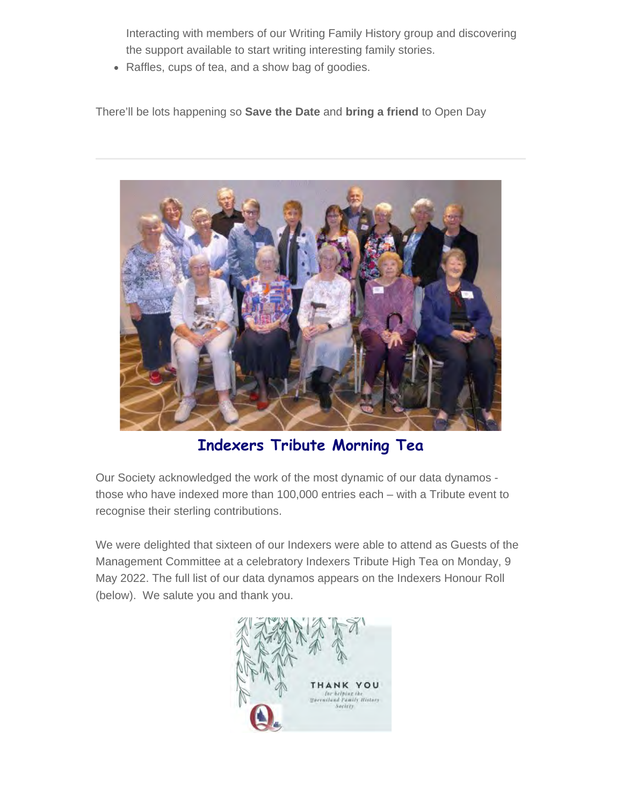Interacting with members of our Writing Family History group and discovering the support available to start writing interesting family stories.

• Raffles, cups of tea, and a show bag of goodies.

There'll be lots happening so **Save the Date** and **bring a friend** to Open Day



**Indexers Tribute Morning Tea**

Our Society acknowledged the work of the most dynamic of our data dynamos those who have indexed more than 100,000 entries each – with a Tribute event to recognise their sterling contributions.

We were delighted that sixteen of our Indexers were able to attend as Guests of the Management Committee at a celebratory Indexers Tribute High Tea on Monday, 9 May 2022. The full list of our data dynamos appears on the Indexers Honour Roll (below). We salute you and thank you.

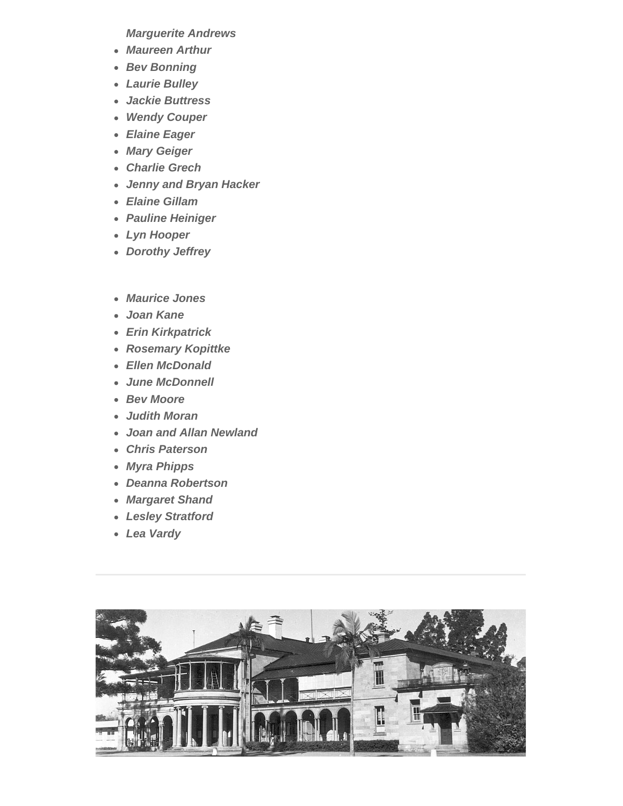*Marguerite Andrews*

- *Maureen Arthur*
- *Bev Bonning*
- *Laurie Bulley*
- *Jackie Buttress*
- *Wendy Couper*
- *Elaine Eager*
- *Mary Geiger*
- *Charlie Grech*
- *Jenny and Bryan Hacker*
- *Elaine Gillam*
- *Pauline Heiniger*
- *Lyn Hooper*
- *Dorothy Jeffrey*
- *Maurice Jones*
- *Joan Kane*
- *Erin Kirkpatrick*
- *Rosemary Kopittke*
- *Ellen McDonald*
- *June McDonnell*
- *Bev Moore*
- *Judith Moran*
- *Joan and Allan Newland*
- *Chris Paterson*
- *Myra Phipps*
- *Deanna Robertson*
- *Margaret Shand*
- *Lesley Stratford*
- *Lea Vardy*

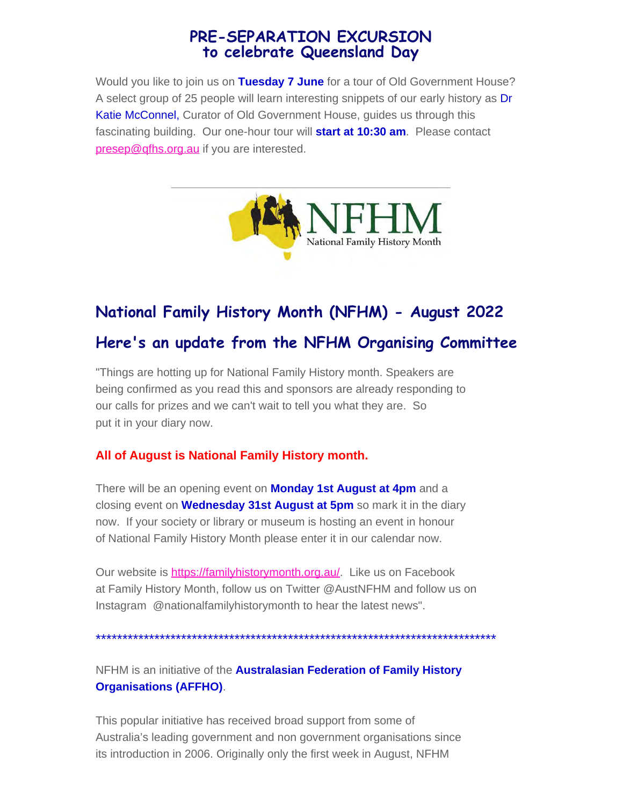## **PRE-SEPARATION EXCURSION to celebrate Queensland Day**

Would you like to join us on **Tuesday 7 June** for a tour of Old Government House? A select group of 25 people will learn interesting snippets of our early history as Dr Katie McConnel, Curator of Old Government House, guides us through this fascinating building. Our one-hour tour will **start at 10:30 am**. Please contact [presep@qfhs.org.au](mailto:presep@qfhs.org.au) if you are interested.



# **National Family History Month (NFHM) - August 2022**

## **Here's an update from the NFHM Organising Committee**

"Things are hotting up for National Family History month. Speakers are being confirmed as you read this and sponsors are already responding to our calls for prizes and we can't wait to tell you what they are. So put it in your diary now.

#### **All of August is National Family History month.**

There will be an opening event on **Monday 1st August at 4pm** and a closing event on **Wednesday 31st August at 5pm** so mark it in the diary now. If your society or library or museum is hosting an event in honour of National Family History Month please enter it in our calendar now.

Our website is <https://familyhistorymonth.org.au/>. Like us on Facebook at Family History Month, follow us on Twitter @AustNFHM and follow us on Instagram @nationalfamilyhistorymonth to hear the latest news".

\*\*\*\*\*\*\*\*\*\*\*\*\*\*\*\*\*\*\*\*\*\*\*\*\*\*\*\*\*\*\*\*\*\*\*\*\*\*\*\*\*\*\*\*\*\*\*\*\*\*\*\*\*\*\*\*\*\*\*\*\*\*\*\*\*\*\*\*\*\*\*\*\*\*\*

NFHM is an initiative of the **Australasian Federation of Family History Organisations (AFFHO)**.

This popular initiative has received broad support from some of Australia's leading government and non government organisations since its introduction in 2006. Originally only the first week in August, NFHM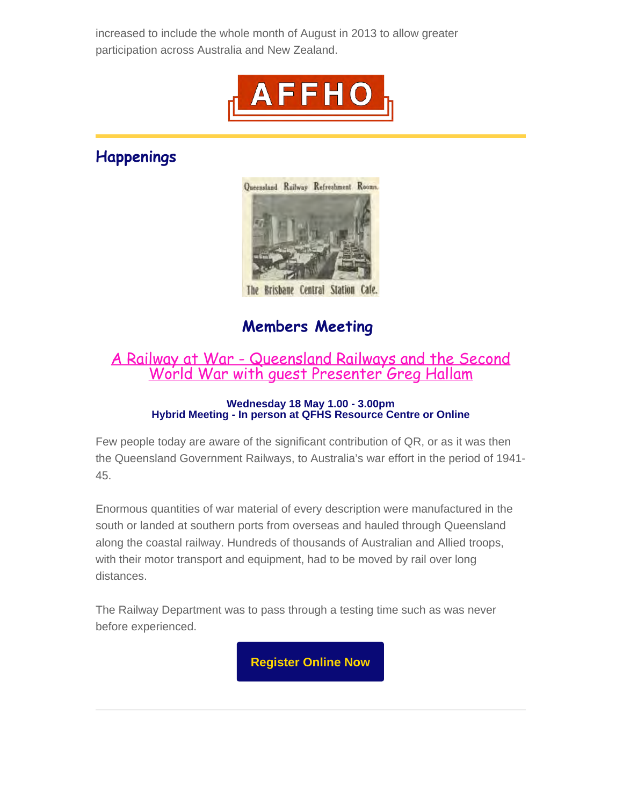increased to include the whole month of August in 2013 to allow greater participation across Australia and New Zealand.



## **Happenings**



The Brisbane Central Station Cafe.

## **Members Meeting**

## [A Railway at War - Queensland Railways and the Second](https://www.qfhs.org.au/CalendarEvent.aspx?dt=20220518_130000_63) World War [with guest Presenter Greg Hallam](https://www.qfhs.org.au/CalendarEvent.aspx?dt=20220518_130000_63)

#### **Wednesday 18 May 1.00 - 3.00pm Hybrid Meeting - In person at QFHS Resource Centre or Online**

Few people today are aware of the significant contribution of QR, or as it was then the Queensland Government Railways, to Australia's war effort in the period of 1941- 45.

Enormous quantities of war material of every description were manufactured in the south or landed at southern ports from overseas and hauled through Queensland along the coastal railway. Hundreds of thousands of Australian and Allied troops, with their motor transport and equipment, had to be moved by rail over long distances.

The Railway Department was to pass through a testing time such as was never before experienced.

**[Register Online Now](https://www.eventbrite.com.au/e/members-meeting-may-greg-hallam-tickets-290068030287)**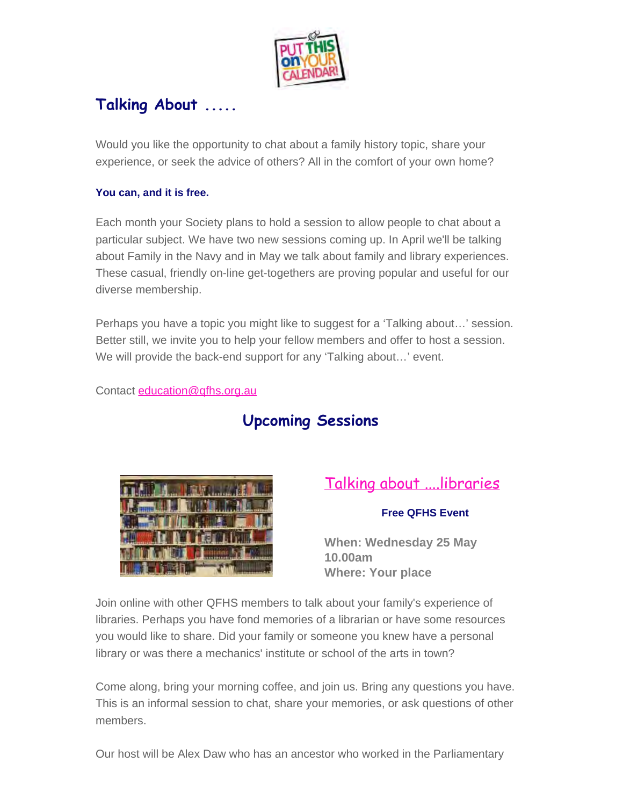

## **Talking About .....**

Would you like the opportunity to chat about a family history topic, share your experience, or seek the advice of others? All in the comfort of your own home?

#### **You can, and it is free.**

Each month your Society plans to hold a session to allow people to chat about a particular subject. We have two new sessions coming up. In April we'll be talking about Family in the Navy and in May we talk about family and library experiences. These casual, friendly on-line get-togethers are proving popular and useful for our diverse membership.

Perhaps you have a topic you might like to suggest for a 'Talking about…' session. Better still, we invite you to help your fellow members and offer to host a session. We will provide the back-end support for any 'Talking about…' event.

Contact [education@qfhs.org.au](mailto:education@qfhs.org.au)

## **Upcoming Sessions**



## [Talking about ....libraries](https://www.qfhs.org.au/CalendarEvent.aspx?dt=20220525_100000_176)

#### **Free QFHS Event**

**When: Wednesday 25 May 10.00am Where: Your place**

Join online with other QFHS members to talk about your family's experience of libraries. Perhaps you have fond memories of a librarian or have some resources you would like to share. Did your family or someone you knew have a personal library or was there a mechanics' institute or school of the arts in town?

Come along, bring your morning coffee, and join us. Bring any questions you have. This is an informal session to chat, share your memories, or ask questions of other members.

Our host will be Alex Daw who has an ancestor who worked in the Parliamentary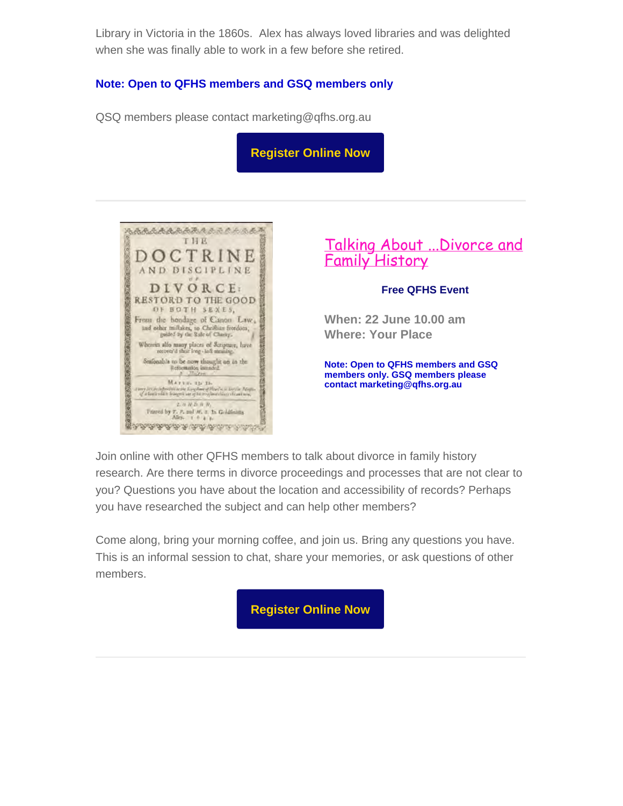Library in Victoria in the 1860s. Alex has always loved libraries and was delighted when she was finally able to work in a few before she retired.

#### **Note: Open to QFHS members and GSQ members only**

QSQ members please contact marketing@qfhs.org.au

**[Register Online Now](https://www.eventbrite.com.au/e/talking-about-libraries-tickets-309146885657)**



[Talking About ...Divorce and](https://www.qfhs.org.au/CalendarEvent.aspx?dt=20220622_100000_183) [Family History](https://www.qfhs.org.au/CalendarEvent.aspx?dt=20220622_100000_183)

#### **Free QFHS Event**

**When: 22 June 10.00 am Where: Your Place**

**Note: Open to QFHS members and GSQ members only. GSQ members please contact marketing@qfhs.org.au**

Join online with other QFHS members to talk about divorce in family history research. Are there terms in divorce proceedings and processes that are not clear to you? Questions you have about the location and accessibility of records? Perhaps you have researched the subject and can help other members?

Come along, bring your morning coffee, and join us. Bring any questions you have. This is an informal session to chat, share your memories, or ask questions of other members.

**[Register Online Now](https://www.eventbrite.com.au/e/talking-about-divorce-and-family-history-tickets-319128300337)**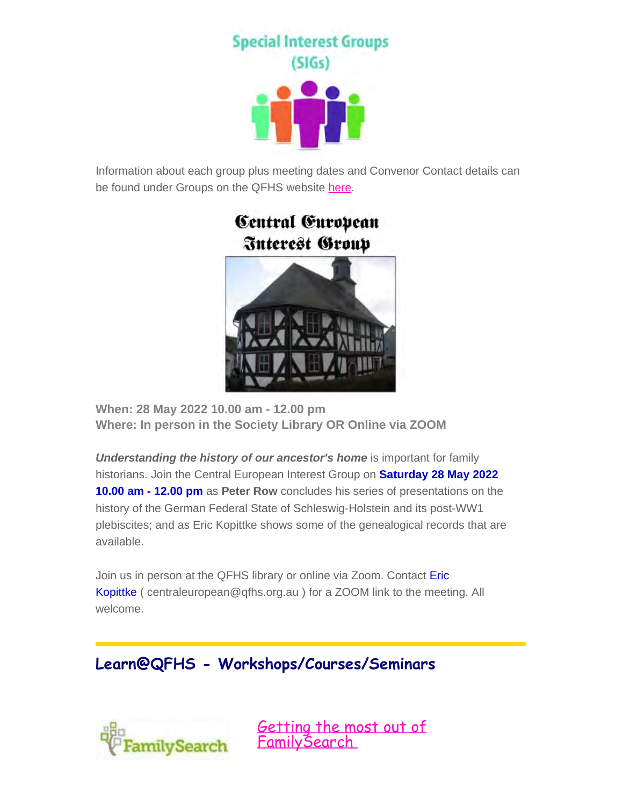**Special Interest Groups**  $(SIGs)$ 

Information about each group plus meeting dates and Convenor Contact details can be found under Groups on the QFHS website [here.](https://www.qfhs.org.au/groups/)



**When: 28 May 2022 10.00 am - 12.00 pm Where: In person in the Society Library OR Online via ZOOM**

*Understanding the history of our ancestor's home is important for family* historians. Join the Central European Interest Group on **Saturday 28 May 2022 10.00 am - 12.00 pm** as **Peter Row** concludes his series of presentations on the history of the German Federal State of Schleswig-Holstein and its post-WW1 plebiscites; and as Eric Kopittke shows some of the genealogical records that are available.

Join us in person at the QFHS library or online via Zoom. Contact Eric Kopittke ( centraleuropean@qfhs.org.au ) for a ZOOM link to the meeting. All welcome.

## **Learn@QFHS - Workshops/Courses/Seminars**



[Getting the most out of](https://www.qfhs.org.au/CalendarEvent.aspx?dt=20220610_100000_73) [FamilySearch](https://www.qfhs.org.au/CalendarEvent.aspx?dt=20220610_100000_73)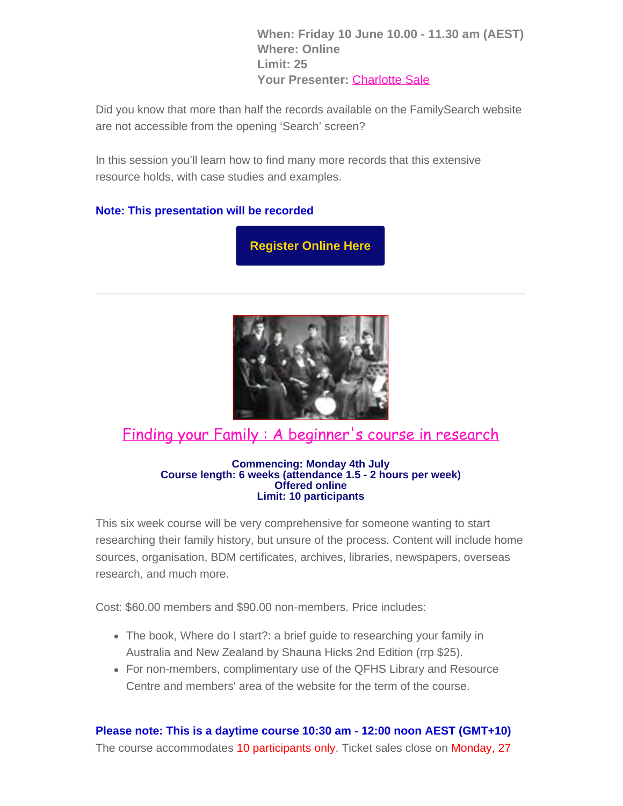**When: Friday 10 June 10.00 - 11.30 am (AEST) Where: Online Limit: 25 Your Presenter:** [Charlotte Sale](https://www.qfhs.org.au/biographies/charlotte-sale/)

Did you know that more than half the records available on the FamilySearch website are not accessible from the opening 'Search' screen?

In this session you'll learn how to find many more records that this extensive resource holds, with case studies and examples.

#### **Note: This presentation will be recorded**

**[Register Online Here](https://www.eventbrite.com.au/e/getting-the-most-out-of-familysearch-tickets-264871697377)**



## [Finding your Family : A beginner's course in research](https://www.qfhs.org.au/events/learn-qfhs/finding-your-family-a-beginners-course-in-research-winter/)

#### **Commencing: Monday 4th July Course length: 6 weeks (attendance 1.5 - 2 hours per week) Offered online Limit: 10 participants**

This six week course will be very comprehensive for someone wanting to start researching their family history, but unsure of the process. Content will include home sources, organisation, BDM certificates, archives, libraries, newspapers, overseas research, and much more.

Cost: \$60.00 members and \$90.00 non-members. Price includes:

- The book, Where do I start?: a brief guide to researching your family in Australia and New Zealand by Shauna Hicks 2nd Edition (rrp \$25).
- For non-members, complimentary use of the QFHS Library and Resource Centre and members' area of the website for the term of the course.

**Please note: This is a daytime course 10:30 am - 12:00 noon AEST (GMT+10)**

The course accommodates 10 participants only. Ticket sales close on Monday, 27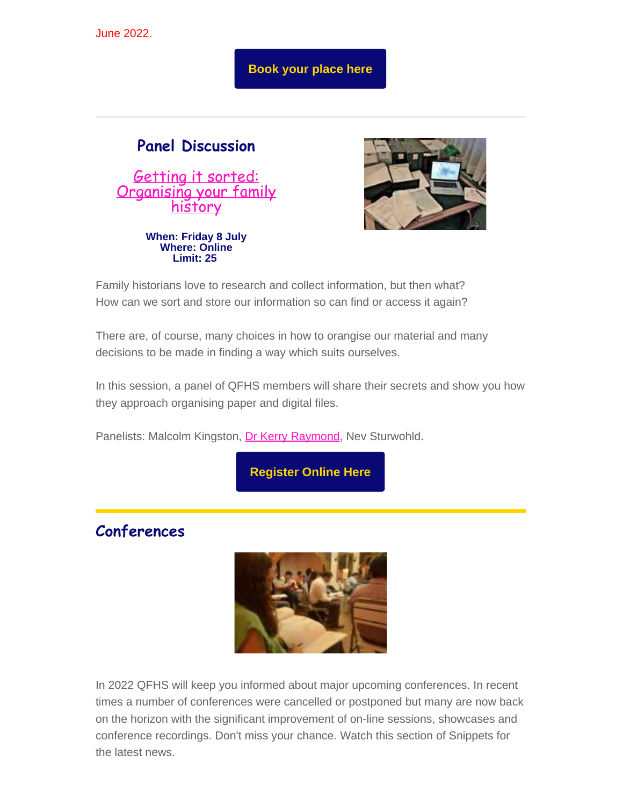June 2022.

**[Book your place here](https://www.eventbrite.com.au/e/finding-your-family-a-beginners-course-in-research-july-2022-tickets-297825803997)**

## **Panel Discussion**

[Getting it sorted:](https://www.qfhs.org.au/events/learn-qfhs/getting-it-sorted/) [Organising your family](https://www.qfhs.org.au/events/learn-qfhs/getting-it-sorted/) [history](https://www.qfhs.org.au/events/learn-qfhs/getting-it-sorted/)

**When: Friday 8 July Where: Online Limit: 25**

Family historians love to research and collect information, but then what? How can we sort and store our information so can find or access it again?

There are, of course, many choices in how to orangise our material and many decisions to be made in finding a way which suits ourselves.

In this session, a panel of QFHS members will share their secrets and show you how they approach organising paper and digital files.

Panelists: Malcolm Kingston, [Dr Kerry Raymond](https://www.qfhs.org.au/biographies/kerry-raymond/), Nev Sturwohld.

**[Register Online Here](https://www.eventbrite.com.au/e/getting-it-sorted-organising-your-family-history-tickets-326128468027)**

**Conferences**



In 2022 QFHS will keep you informed about major upcoming conferences. In recent times a number of conferences were cancelled or postponed but many are now back on the horizon with the significant improvement of on-line sessions, showcases and conference recordings. Don't miss your chance. Watch this section of Snippets for the latest news.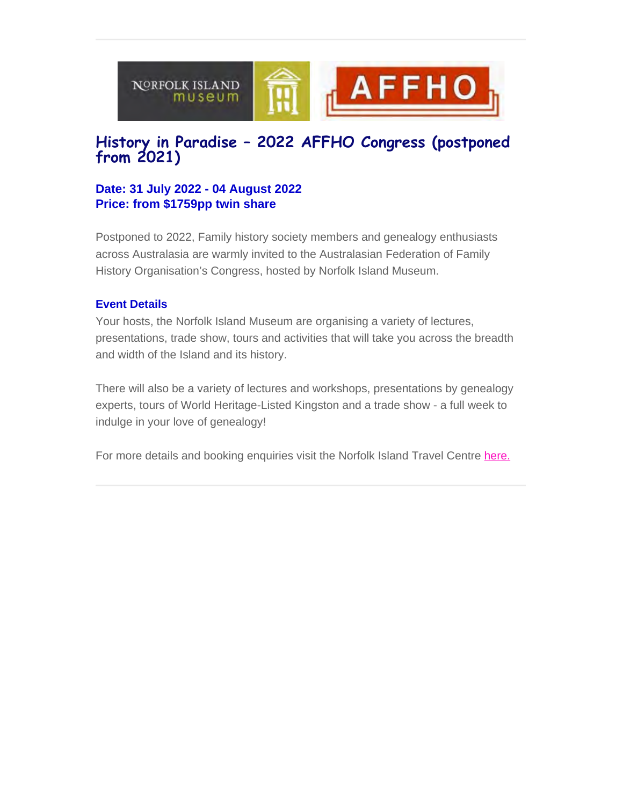

## **History in Paradise – 2022 AFFHO Congress (postponed from 2021)**

#### **Date: 31 July 2022 - 04 August 2022 Price: from \$1759pp twin share**

Postponed to 2022, Family history society members and genealogy enthusiasts across Australasia are warmly invited to the Australasian Federation of Family History Organisation's Congress, hosted by Norfolk Island Museum.

#### **Event Details**

Your hosts, the Norfolk Island Museum are organising a variety of lectures, presentations, trade show, tours and activities that will take you across the breadth and width of the Island and its history.

There will also be a variety of lectures and workshops, presentations by genealogy experts, tours of World Heritage-Listed Kingston and a trade show - a full week to indulge in your love of genealogy!

For more details and booking enquiries visit the Norfolk Island Travel Centre [here.](https://www.norfolkislandtravelcentre.com/event/history-in-paradise-2021-affho-congress/?utm_source=sendinblue&utm_campaign=AFFHO%20Congress%202022%20-%20Round%201%20Indiv%20%20Clubs%20AU&utm_medium=email)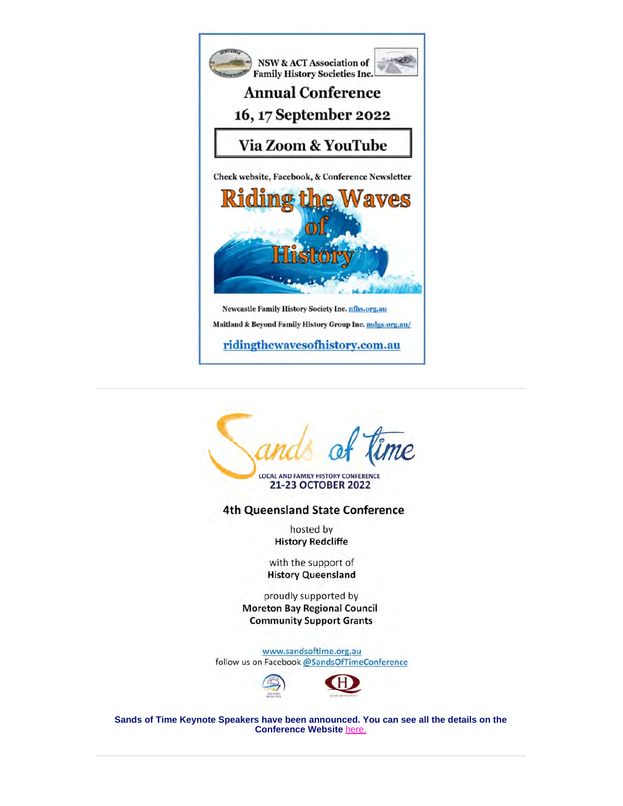



LOCAL AND FAMILY HISTORY CONFERENCE 21-23 OCTOBER 2022

**4th Queensland State Conference** 

hosted by **History Redcliffe** 

with the support of **History Queensland** 

proudly supported by **Moreton Bay Regional Council Community Support Grants** 

www.sandsoftime.org.au follow us on Facebook @SandsOfTimeConference



**Sands of Time Keynote Speakers have been announced. You can see all the details on the Conference Website** [here.](https://sandsoftime.org.au/)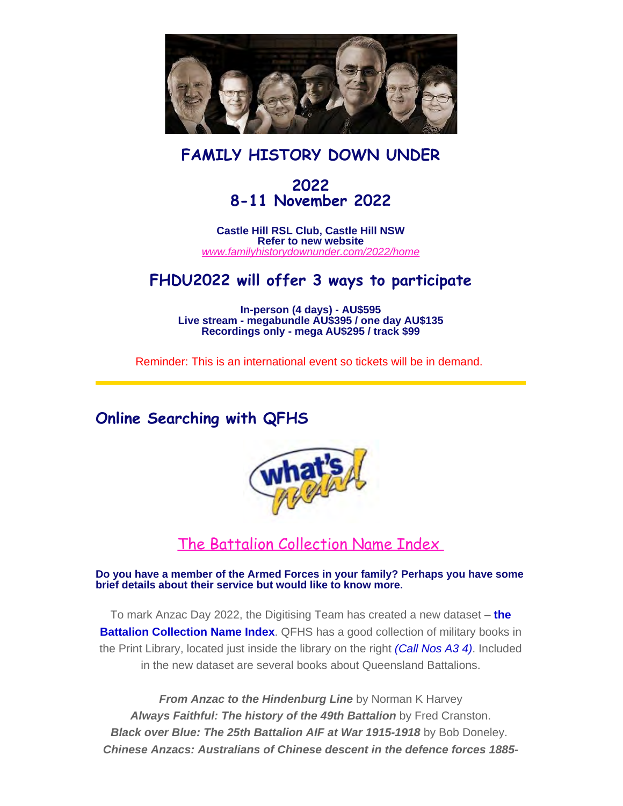

## **FAMILY HISTORY DOWN UNDER**

## **2022 8-11 November 2022**

**Castle Hill RSL Club, Castle Hill NSW Refer to new website** *[www.familyhistorydownunder.com/2022/home](https://www.fhdu22.com/)*

## **FHDU2022 will offer 3 ways to participate**

**In-person (4 days) - AU\$595 Live stream - megabundle AU\$395 / one day AU\$135 Recordings only - mega AU\$295 / track \$99**

Reminder: This is an international event so tickets will be in demand.

## **Online Searching with QFHS**



## [The Battalion Collection Name](https://www.qfhs.org.au/online-access/battalionindexes/) Index

**Do you have a member of the Armed Forces in your family? Perhaps you have some brief details about their service but would like to know more.**

To mark Anzac Day 2022, the Digitising Team has created a new dataset – **the Battalion Collection Name Index**. QFHS has a good collection of military books in the Print Library, located just inside the library on the right *(Call Nos A3 4)*. Included in the new dataset are several books about Queensland Battalions.

*From Anzac to the Hindenburg Line* by Norman K Harvey *Always Faithful: The history of the 49th Battalion* by Fred Cranston. *Black over Blue: The 25th Battalion AIF at War 1915-1918* by Bob Doneley. *Chinese Anzacs: Australians of Chinese descent in the defence forces 1885-*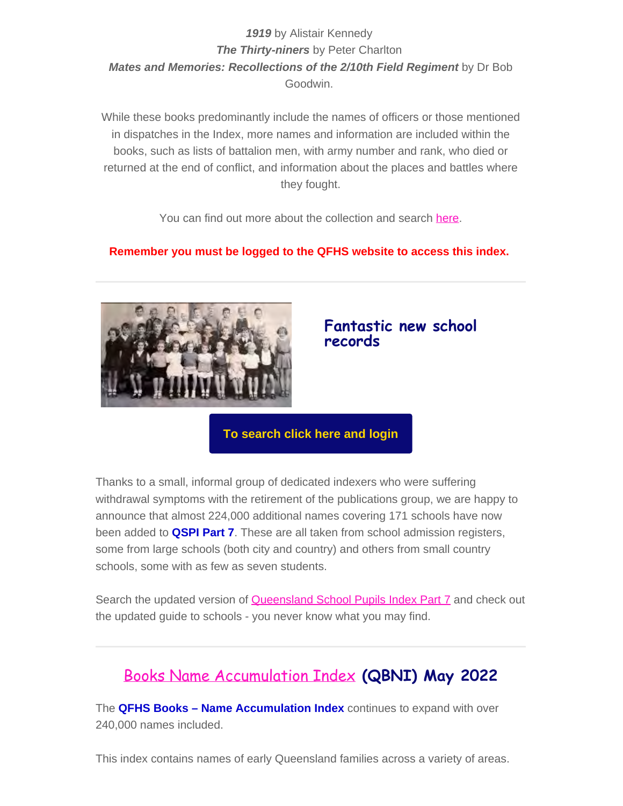#### *1919* by Alistair Kennedy *The Thirty-niners* by Peter Charlton *Mates and Memories: Recollections of the 2/10th Field Regiment* by Dr Bob Goodwin.

While these books predominantly include the names of officers or those mentioned in dispatches in the Index, more names and information are included within the books, such as lists of battalion men, with army number and rank, who died or returned at the end of conflict, and information about the places and battles where they fought.

You can find out more about the collection and search [here.](https://www.qfhs.org.au/online-access/battalionindexes/)

#### **Remember you must be logged to the QFHS website to access this index.**



#### **Fantastic new school records**

#### **[To search click here and login](https://www.qfhs.org.au/online-access/searchable-datasets/)**

Thanks to a small, informal group of dedicated indexers who were suffering withdrawal symptoms with the retirement of the publications group, we are happy to announce that almost 224,000 additional names covering 171 schools have now been added to **QSPI Part 7**. These are all taken from school admission registers, some from large schools (both city and country) and others from small country schools, some with as few as seven students.

Search the updated version of [Queensland School Pupils Index Part 7](https://www.qfhs.org.au/online-access/qspi7/) and check out the updated guide to schools - you never know what you may find.

## [Books Name Accumulation Index](https://www.qfhs.org.au/online-access/qfhs-books-name-accumulation-index/) **(QBNI) May 2022**

The **QFHS Books – Name Accumulation Index** continues to expand with over 240,000 names included.

This index contains names of early Queensland families across a variety of areas.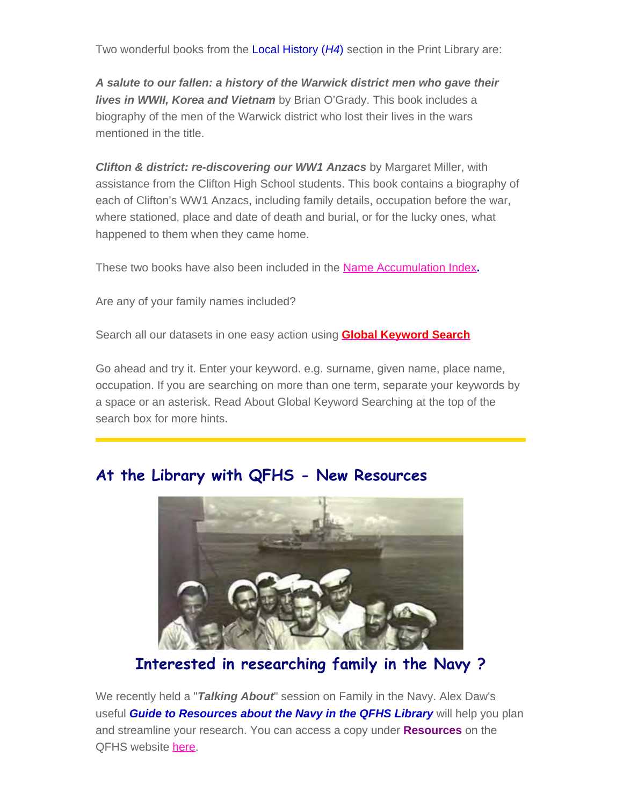Two wonderful books from the Local History (*H4*) section in the Print Library are:

*A salute to our fallen: a history of the Warwick district men who gave their lives in WWII, Korea and Vietnam* by Brian O'Grady. This book includes a biography of the men of the Warwick district who lost their lives in the wars mentioned in the title.

**Clifton & district: re-discovering our WW1 Anzacs** by Margaret Miller, with assistance from the Clifton High School students. This book contains a biography of each of Clifton's WW1 Anzacs, including family details, occupation before the war, where stationed, place and date of death and burial, or for the lucky ones, what happened to them when they came home.

These two books have also been included in the [Name Accumulation Index](https://www.qfhs.org.au/online-access/qfhs-books-name-accumulation-index/)**.**

Are any of your family names included?

Search all our datasets in one easy action using **[Global Keyword Search](https://www.qfhs.org.au/online-access/searchable-datasets/global-keyword-search/)**

Go ahead and try it. Enter your keyword. e.g. surname, given name, place name, occupation. If you are searching on more than one term, separate your keywords by a space or an asterisk. Read About Global Keyword Searching at the top of the search box for more hints.

## **At the Library with QFHS - New Resources**



## **Interested in researching family in the Navy ?**

We recently held a "*Talking About*" session on Family in the Navy. Alex Daw's useful *Guide to Resources about the Navy in the QFHS Library* will help you plan and streamline your research. You can access a copy under **Resources** on the QFHS website [here](https://www.qfhs.org.au/resources/research-guides/).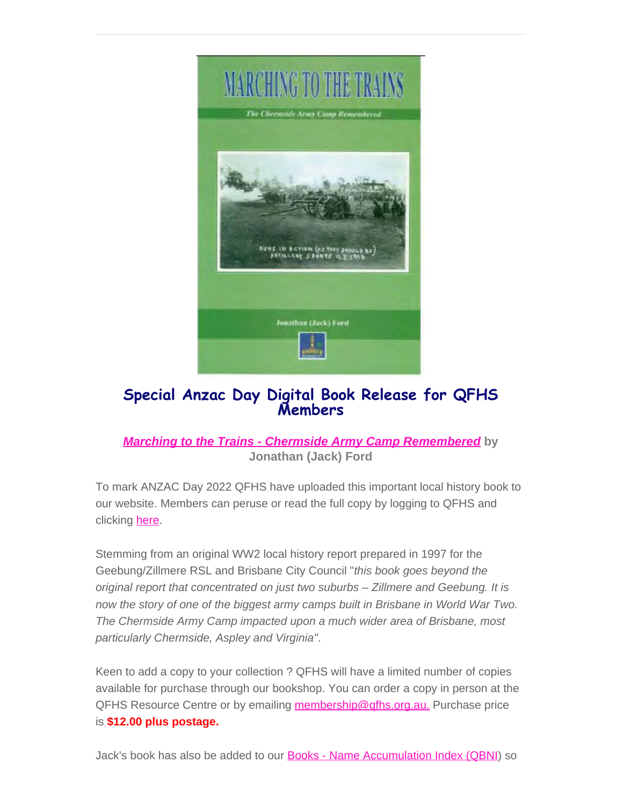

## **Special Anzac Day Digital Book Release for QFHS Members**

#### *[Marching to the Trains - Chermside Army Camp Remembered](https://www.qfhs.org.au/online-access/searchable-collections/other-works/)* **by Jonathan (Jack) Ford**

To mark ANZAC Day 2022 QFHS have uploaded this important local history book to our website. Members can peruse or read the full copy by logging to QFHS and clicking **here**.

Stemming from an original WW2 local history report prepared in 1997 for the Geebung/Zillmere RSL and Brisbane City Council "*this book goes beyond the original report that concentrated on just two suburbs – Zillmere and Geebung. It is now the story of one of the biggest army camps built in Brisbane in World War Two. The Chermside Army Camp impacted upon a much wider area of Brisbane, most particularly Chermside, Aspley and Virginia"*.

Keen to add a copy to your collection ? QFHS will have a limited number of copies available for purchase through our bookshop. You can order a copy in person at the QFHS Resource Centre or by emailing [membership@qfhs.org.au.](mailto:membership@qfhs.org.au) Purchase price is **\$12.00 plus postage.**

Jack's book has also be added to our **Books - Name Accumulation Index (QBNI)** so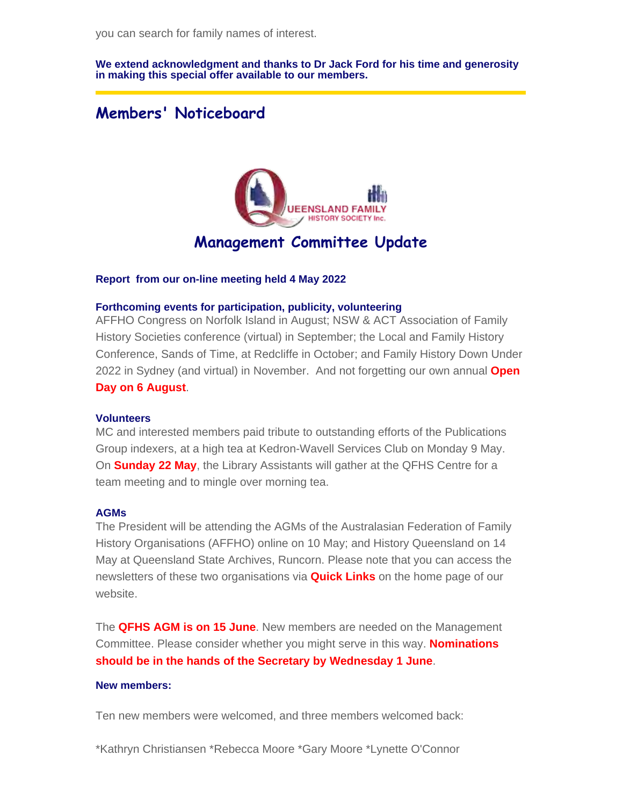**We extend acknowledgment and thanks to Dr Jack Ford for his time and generosity in making this special offer available to our members.** 

## **Members' Noticeboard**



## **Management Committee Update**

#### **Report from our on-line meeting held 4 May 2022**

#### **Forthcoming events for participation, publicity, volunteering**

AFFHO Congress on Norfolk Island in August; NSW & ACT Association of Family History Societies conference (virtual) in September; the Local and Family History Conference, Sands of Time, at Redcliffe in October; and Family History Down Under 2022 in Sydney (and virtual) in November. And not forgetting our own annual **Open Day on 6 August**.

#### **Volunteers**

MC and interested members paid tribute to outstanding efforts of the Publications Group indexers, at a high tea at Kedron-Wavell Services Club on Monday 9 May. On **Sunday 22 May**, the Library Assistants will gather at the QFHS Centre for a team meeting and to mingle over morning tea.

#### **AGMs**

The President will be attending the AGMs of the Australasian Federation of Family History Organisations (AFFHO) online on 10 May; and History Queensland on 14 May at Queensland State Archives, Runcorn. Please note that you can access the newsletters of these two organisations via **Quick Links** on the home page of our website.

The **QFHS AGM is on 15 June**. New members are needed on the Management Committee. Please consider whether you might serve in this way. **Nominations should be in the hands of the Secretary by Wednesday 1 June**.

#### **New members:**

Ten new members were welcomed, and three members welcomed back:

\*Kathryn Christiansen \*Rebecca Moore \*Gary Moore \*Lynette O'Connor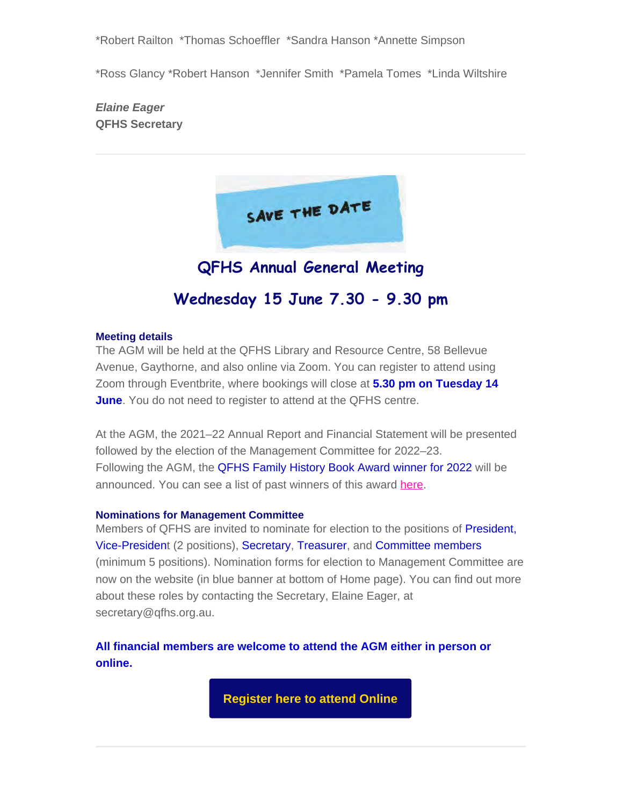\*Robert Railton \*Thomas Schoeffler \*Sandra Hanson \*Annette Simpson

\*Ross Glancy \*Robert Hanson \*Jennifer Smith \*Pamela Tomes \*Linda Wiltshire

*Elaine Eager* **QFHS Secretary**



## **Wednesday 15 June 7.30 - 9.30 pm**

#### **Meeting details**

The AGM will be held at the QFHS Library and Resource Centre, 58 Bellevue Avenue, Gaythorne, and also online via Zoom. You can register to attend using Zoom through Eventbrite, where bookings will close at **5.30 pm on Tuesday 14 June**. You do not need to register to attend at the QFHS centre.

At the AGM, the 2021–22 Annual Report and Financial Statement will be presented followed by the election of the Management Committee for 2022–23. Following the AGM, the QFHS Family History Book Award winner for 2022 will be announced. You can see a list of past winners of this award [here](https://www.qfhs.org.au/about-us/awards/book-award-winners/).

#### **Nominations for Management Committee**

Members of QFHS are invited to nominate for election to the positions of President, Vice-President (2 positions), Secretary, Treasurer, and Committee members (minimum 5 positions). Nomination forms for election to Management Committee are now on the website (in blue banner at bottom of Home page). You can find out more about these roles by contacting the Secretary, Elaine Eager, at secretary@qfhs.org.au.

**All financial members are welcome to attend the AGM either in person or online.**

**[Register here to attend Online](https://www.eventbrite.com.au/e/qfhs-annual-general-meeting-and-qfhs-book-award-tickets-320375219907)**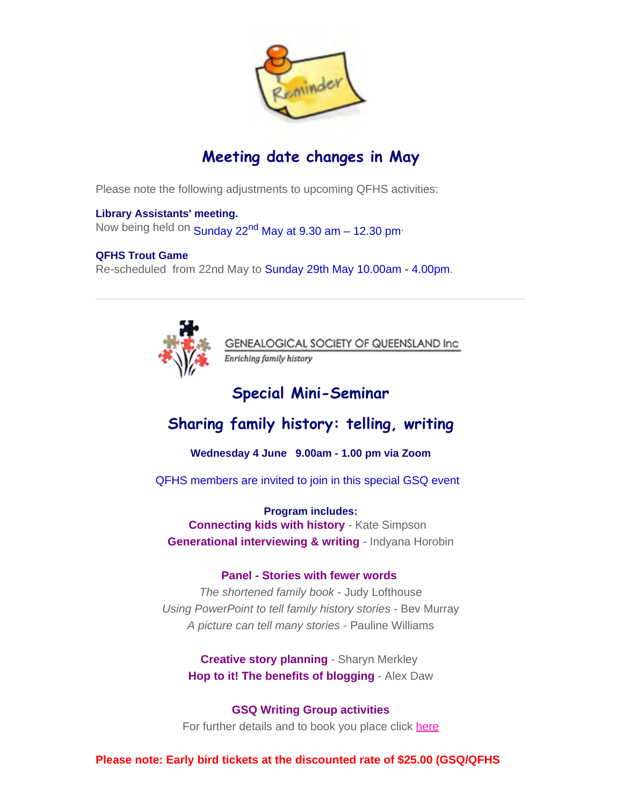

## **Meeting date changes in May**

Please note the following adjustments to upcoming QFHS activities:

#### **Library Assistants' meeting.**

Now being held on Sunday 22<sup>nd</sup> May at 9.30 am - 12.30 pm<sup>.</sup>

#### **QFHS Trout Game**

Re-scheduled from 22nd May to Sunday 29th May 10.00am - 4.00pm.



GENEALOGICAL SOCIETY OF QUEENSLAND Inc Enriching family history

## **Special Mini-Seminar**

## **Sharing family history: telling, writing**

**Wednesday 4 June 9.00am - 1.00 pm via Zoom**

QFHS members are invited to join in this special GSQ event

**Program includes: Connecting kids with history** - Kate Simpson **Generational interviewing & writing** - Indyana Horobin

#### **Panel - Stories with fewer words**

*The shortened family book* - Judy Lofthouse *Using PowerPoint to tell family history stories* - Bev Murray *A picture can tell many stories* - Pauline Williams

**Creative story planning** - Sharyn Merkley **Hop to it! The benefits of blogging** - Alex Daw

**GSQ Writing Group activities** For further details and to book you place click [here](https://www.gsq.org.au/event/sharing-family-history-telling-writing/)

**Please note: Early bird tickets at the discounted rate of \$25.00 (GSQ/QFHS**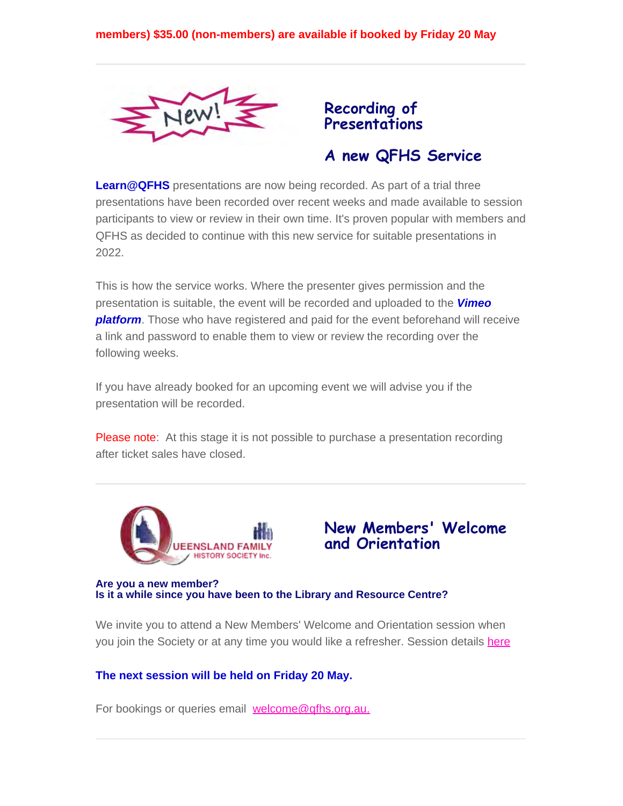

## **Recording of Presentations**

## **A new QFHS Service**

**Learn@QFHS** presentations are now being recorded. As part of a trial three presentations have been recorded over recent weeks and made available to session participants to view or review in their own time. It's proven popular with members and QFHS as decided to continue with this new service for suitable presentations in 2022.

This is how the service works. Where the presenter gives permission and the presentation is suitable, the event will be recorded and uploaded to the *Vimeo platform*. Those who have registered and paid for the event beforehand will receive a link and password to enable them to view or review the recording over the following weeks.

If you have already booked for an upcoming event we will advise you if the presentation will be recorded.

Please note: At this stage it is not possible to purchase a presentation recording after ticket sales have closed.





**Are you a new member? Is it a while since you have been to the Library and Resource Centre?**

We invite you to attend a New Members' Welcome and Orientation session when you join the Society or at any time you would like a refresher. Session details [here](https://www.qfhs.org.au/events/new-members-welcome-and-orientation/)

#### **The next session will be held on Friday 20 May.**

For bookings or queries email [welcome@qfhs.org.au.](mailto:welcome@qfhs.org.au?subject=New%20Members%20Orientation)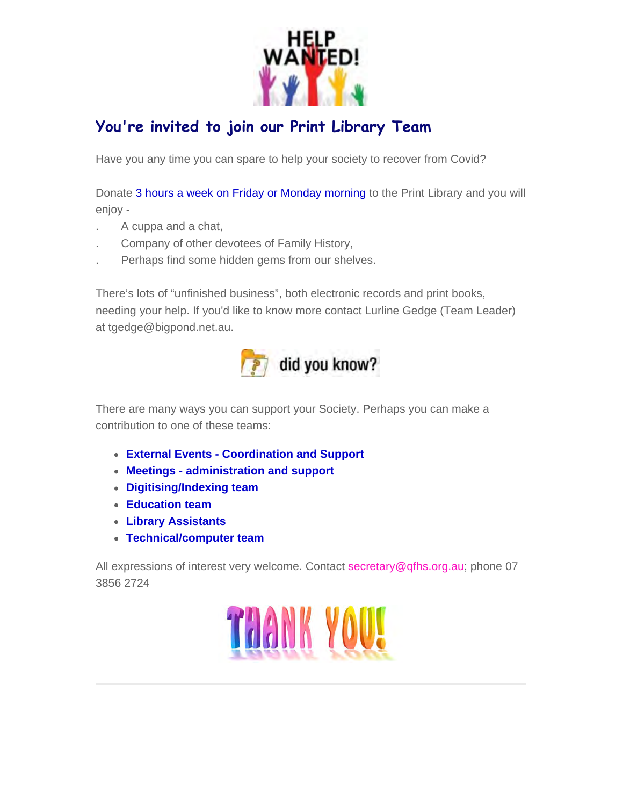

## **You're invited to join our Print Library Team**

Have you any time you can spare to help your society to recover from Covid?

Donate 3 hours a week on Friday or Monday morning to the Print Library and you will enjoy -

- . A cuppa and a chat,
- . Company of other devotees of Family History,
- . Perhaps find some hidden gems from our shelves.

There's lots of "unfinished business", both electronic records and print books, needing your help. If you'd like to know more contact Lurline Gedge (Team Leader) at tgedge@bigpond.net.au.



There are many ways you can support your Society. Perhaps you can make a contribution to one of these teams:

- **External Events Coordination and Support**
- **Meetings administration and support**
- **Digitising/Indexing team**
- **Education team**
- **Library Assistants**
- **Technical/computer team**

All expressions of interest very welcome. Contact [secretary@qfhs.org.au](mailto:secretary@qfhs.org.au); phone 07 3856 2724

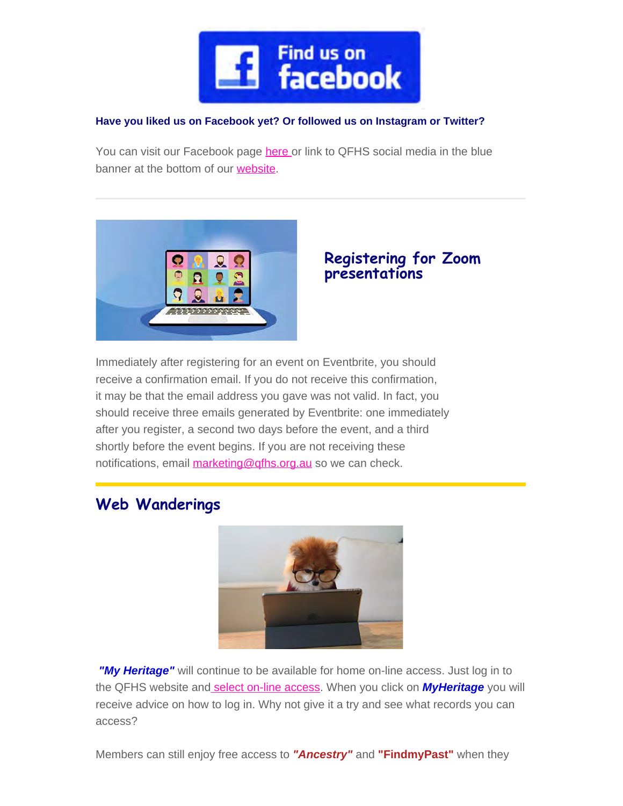

#### **Have you liked us on Facebook yet? Or followed us on Instagram or Twitter?**

You can visit our Facebook page [here](https://www.facebook.com/qldfamilyhistorysociety/) or link to QFHS social media in the blue banner at the bottom of our [website.](https://www.qfhs.org.au/)



### **Registering for Zoom presentations**

Immediately after registering for an event on Eventbrite, you should receive a confirmation email. If you do not receive this confirmation, it may be that the email address you gave was not valid. In fact, you should receive three emails generated by Eventbrite: one immediately after you register, a second two days before the event, and a third shortly before the event begins. If you are not receiving these notifications, email [marketing@qfhs.org.au](mailto:marketing@qfhs.org.au) so we can check.

## **Web Wanderings**



*"My Heritage"* will continue to be available for home on-line access. Just log in to the QFHS website an[d select on-line access](https://www.qfhs.org.au/online-access/). When you click on *MyHeritage* you will receive advice on how to log in. Why not give it a try and see what records you can access?

Members can still enjoy free access to *"Ancestry"* and **"FindmyPast"** when they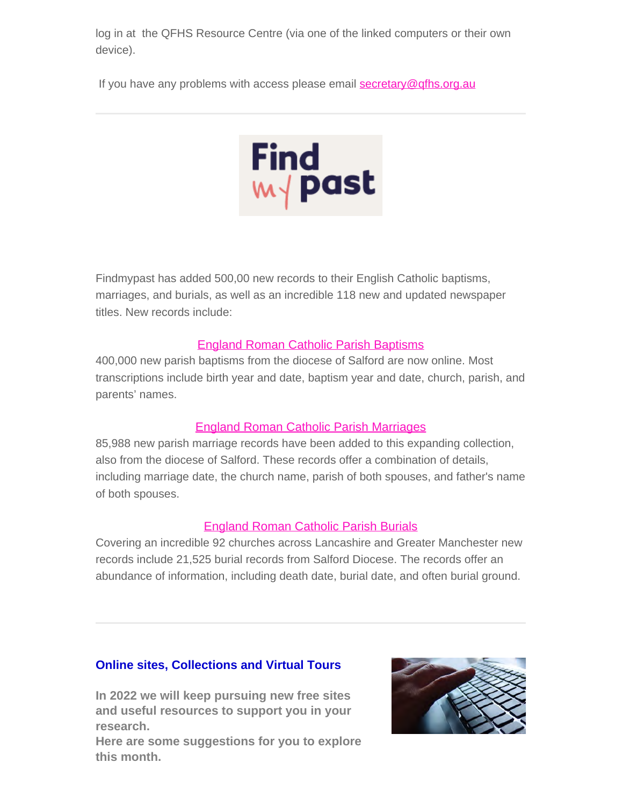log in at the QFHS Resource Centre (via one of the linked computers or their own device).

If you have any problems with access please email [secretary@qfhs.org.au](mailto:secretary@qfhs.org.au?subject=Access%20to%20Subscription%20sites)



Findmypast has added 500,00 new records to their English Catholic baptisms, marriages, and burials, as well as an incredible 118 new and updated newspaper titles. New records include:

#### [England Roman Catholic Parish Baptisms](https://search.findmypast.com.au/search-world-records/england-roman-catholic-parish-baptisms)

400,000 new parish baptisms from the diocese of Salford are now online. Most transcriptions include birth year and date, baptism year and date, church, parish, and parents' names.

#### [England Roman Catholic Parish Marriages](https://search.findmypast.com.au/search-world-records/england-roman-catholic-parish-marriages)

85,988 new parish marriage records have been added to this expanding collection, also from the diocese of Salford. These records offer a combination of details, including marriage date, the church name, parish of both spouses, and father's name of both spouses.

#### [England Roman Catholic Parish Burials](https://search.findmypast.com.au/search-world-records/england-roman-catholic-parish-burials)

Covering an incredible 92 churches across Lancashire and Greater Manchester new records include 21,525 burial records from Salford Diocese. The records offer an abundance of information, including death date, burial date, and often burial ground.

#### **Online sites, Collections and Virtual Tours**

**In 2022 we will keep pursuing new free sites and useful resources to support you in your research.**

**Here are some suggestions for you to explore this month.**

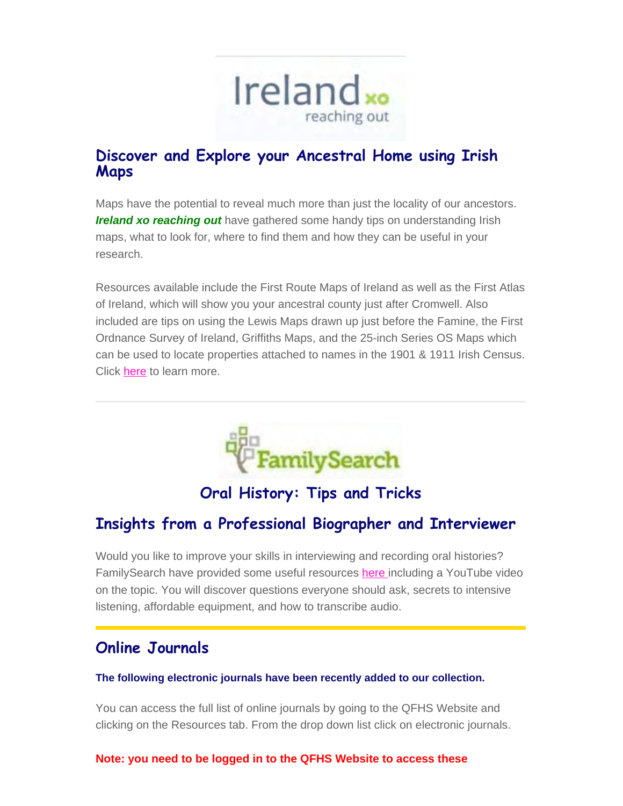

## **Discover and Explore your Ancestral Home using Irish Maps**

Maps have the potential to reveal much more than just the locality of our ancestors. *Ireland xo reaching out* have gathered some handy tips on understanding Irish maps, what to look for, where to find them and how they can be useful in your research.

Resources available include the First Route Maps of Ireland as well as the First Atlas of Ireland, which will show you your ancestral county just after Cromwell. Also included are tips on using the Lewis Maps drawn up just before the Famine, the First Ordnance Survey of Ireland, Griffiths Maps, and the 25-inch Series OS Maps which can be used to locate properties attached to names in the 1901 & 1911 Irish Census. Click [here](https://irelandxo.com/ireland-xo/news/finding-navigating-old-irish-maps?utm_medium=email&utm_source=emfluence&utm_campaign=Finding+%26+Navigating+Old+Irish+Maps) to learn more.



## **Oral History: Tips and Tricks**

## **Insights from a Professional Biographer and Interviewer**

Would you like to improve your skills in interviewing and recording oral histories? FamilySearch have provided some useful resources [here i](https://www.familysearch.org/rootstech/session/oral-history-insights-from-a-professional-biographer-and-interviewer?cid=em-rt-13223&mkt_tok=NTc4LVRUWC04NzQAAAGDagZFhJFpr-DFYWKIdA1Ux0pMKx8IQNLldByXh0QvKyYfPM50F--4VXzutI7Ovz2lwwbZoRWSgyBjchwTjZ3lZPFeGVzym0cvoZrDjdXec34-yw)ncluding a YouTube video on the topic. You will discover questions everyone should ask, secrets to intensive listening, affordable equipment, and how to transcribe audio.

## **Online Journals**

#### **The following electronic journals have been recently added to our collection.**

You can access the full list of online journals by going to the QFHS Website and clicking on the Resources tab. From the drop down list click on electronic journals.

#### **Note: you need to be logged in to the QFHS Website to access these**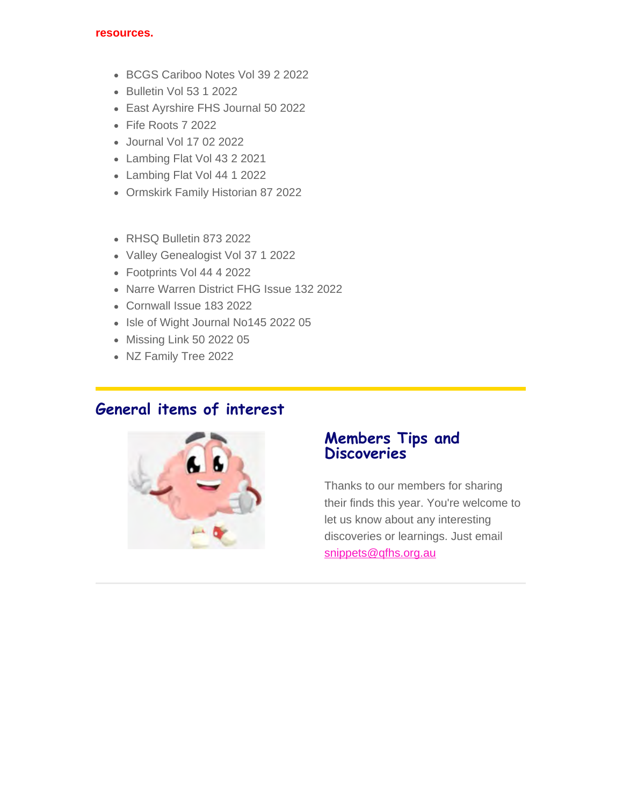#### **resources.**

- BCGS Cariboo Notes Vol 39 2 2022
- Bulletin Vol 53 1 2022
- East Ayrshire FHS Journal 50 2022
- Fife Roots 7 2022
- Journal Vol 17 02 2022
- Lambing Flat Vol 43 2 2021
- Lambing Flat Vol 44 1 2022
- Ormskirk Family Historian 87 2022
- RHSQ Bulletin 873 2022
- Valley Genealogist Vol 37 1 2022
- Footprints Vol 44 4 2022
- Narre Warren District FHG Issue 132 2022
- Cornwall Issue 183 2022
- Isle of Wight Journal No145 2022 05
- Missing Link 50 2022 05
- NZ Family Tree 2022

## **General items of interest**



### **Members Tips and Discoveries**

Thanks to our members for sharing their finds this year. You're welcome to let us know about any interesting discoveries or learnings. Just email [snippets@qfhs.org.au](mailto:snippets@qfhs.org.au)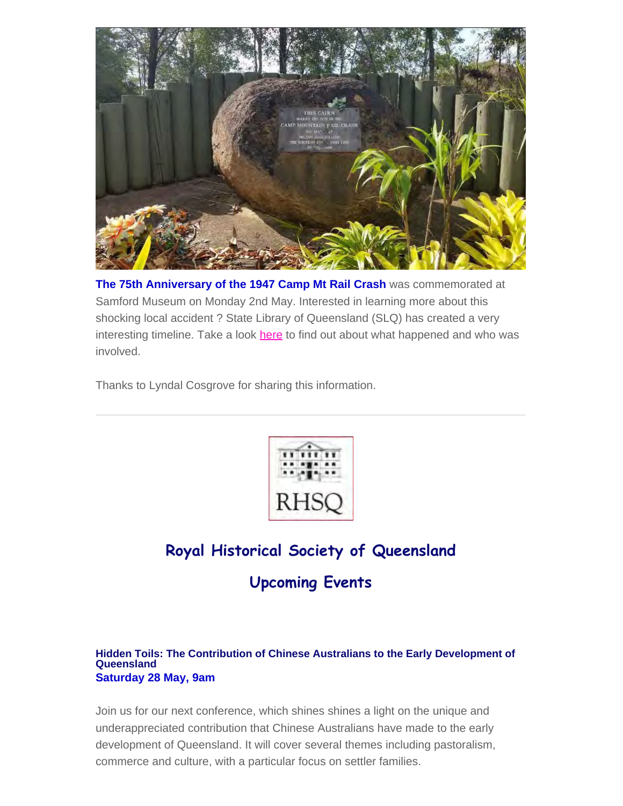

**The 75th Anniversary of the 1947 Camp Mt Rail Crash** was commemorated at Samford Museum on Monday 2nd May. Interested in learning more about this shocking local accident ? State Library of Queensland (SLQ) has created a very interesting timeline. Take a look [here](http://qldstatearchives.shorthand.com/campmountain/) to find out about what happened and who was involved.

Thanks to Lyndal Cosgrove for sharing this information.



## **Royal Historical Society of Queensland Upcoming Events**

#### **Hidden Toils: The Contribution of Chinese Australians to the Early Development of Queensland Saturday 28 May, 9am**

Join us for our next conference, which shines shines a light on the unique and underappreciated contribution that Chinese Australians have made to the early development of Queensland. It will cover several themes including pastoralism, commerce and culture, with a particular focus on settler families.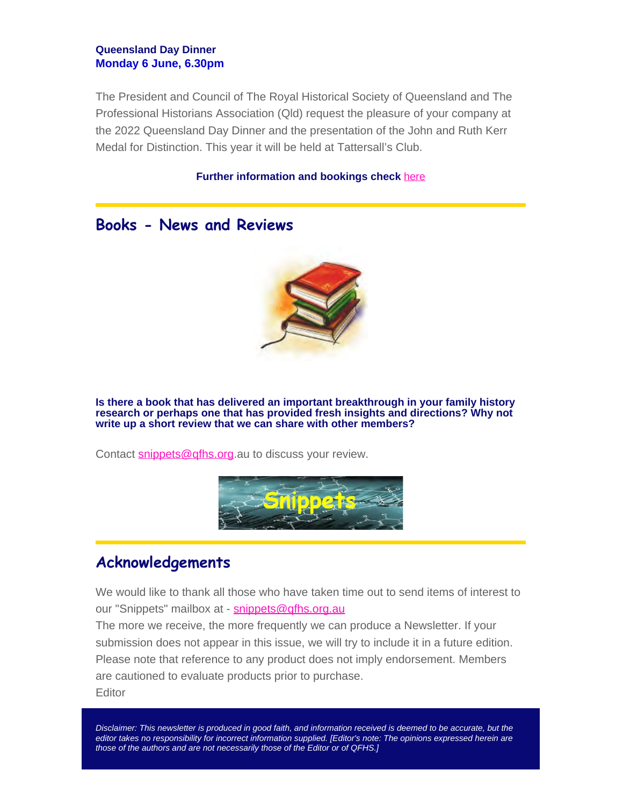#### **Queensland Day Dinner Monday 6 June, 6.30pm**

The President and Council of The Royal Historical Society of Queensland and The Professional Historians Association (Qld) request the pleasure of your company at the 2022 Queensland Day Dinner and the presentation of the John and Ruth Kerr Medal for Distinction. This year it will be held at Tattersall's Club.

#### **Further information and bookings check** [here](https://queenslandhistory.org/events/list/)

#### **Books - News and Reviews**



**Is there a book that has delivered an important breakthrough in your family history research or perhaps one that has provided fresh insights and directions? Why not write up a short review that we can share with other members?**

Contact [snippets@qfhs.org](mailto:snippets@qfhs.org.au).au to discuss your review.



#### **Acknowledgements**

We would like to thank all those who have taken time out to send items of interest to our "Snippets" mailbox at - [snippets@qfhs.org.au](mailto:snippets@qfhs.org.au)

The more we receive, the more frequently we can produce a Newsletter. If your submission does not appear in this issue, we will try to include it in a future edition. Please note that reference to any product does not imply endorsement. Members are cautioned to evaluate products prior to purchase.

**Editor** 

*Disclaimer: This newsletter is produced in good faith, and information received is deemed to be accurate, but the editor takes no responsibility for incorrect information supplied. [Editor's note: The opinions expressed herein are those of the authors and are not necessarily those of the Editor or of QFHS.]*